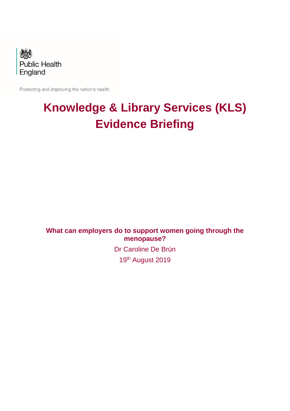

Protecting and improving the nation's health

# **Knowledge & Library Services (KLS) Evidence Briefing**

**What can employers do to support women going through the menopause?**

> Dr Caroline De Brún 19<sup>th</sup> August 2019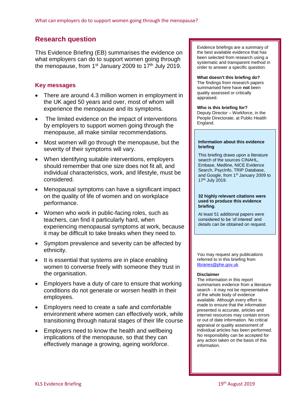# **Research question**

This Evidence Briefing (EB) summarises the evidence on what employers can do to support women going through the menopause, from  $1<sup>st</sup>$  January 2009 to  $17<sup>th</sup>$  July 2019.

# **Key messages**

- There are around 4.3 million women in employment in the UK aged 50 years and over, most of whom will experience the menopause and its symptoms.
- The limited evidence on the impact of interventions by employers to support women going through the menopause, all make similar recommendations.
- Most women will go through the menopause, but the severity of their symptoms will vary.
- When identifying suitable interventions, employers should remember that one size does not fit all, and individual characteristics, work, and lifestyle, must be considered.
- Menopausal symptoms can have a significant impact on the quality of life of women and on workplace performance.
- Women who work in public-facing roles, such as teachers, can find it particularly hard, when experiencing menopausal symptoms at work, because it may be difficult to take breaks when they need to.
- Symptom prevalence and severity can be affected by ethnicity.
- It is essential that systems are in place enabling women to converse freely with someone they trust in the organisation.
- Employers have a duty of care to ensure that working conditions do not generate or worsen health in their employees.
- Employers need to create a safe and comfortable environment where women can effectively work, while transitioning through natural stages of their life course
- Employers need to know the health and wellbeing implications of the menopause, so that they can effectively manage a growing, ageing workforce.

Evidence briefings are a summary of the best available evidence that has been selected from research using a systematic and transparent method in order to answer a specific question.

#### **What doesn't this briefing do?**

The findings from research papers summarised here have **not** been quality assessed or critically appraised.

#### **Who is this briefing for?**

Deputy Director – Workforce, in the People Directorate, at Public Health England.

#### **Information about this evidence briefing**

This briefing draws upon a literature search of the sources CINAHL, Embase, Medline, NICE Evidence Search, PsycInfo, TRIP Database, and Google, from 1<sup>st</sup> January 2009 to 17<sup>th</sup> July 2019.

#### **32 highly relevant citations were used to produce this evidence briefing**.

At least 51 additional papers were considered to be 'of interest' and details can be obtained on request.

You may request any publications referred to in this briefing from [libraries@phe.gov.uk](mailto:libraries@phe.gov.uk)

#### **Disclaimer**

The information in this report summarises evidence from a literature search - it may not be representative of the whole body of evidence available. Although every effort is made to ensure that the information presented is accurate, articles and internet resources may contain errors or out of date information. No critical appraisal or quality assessment of individual articles has been performed. No responsibility can be accepted for any action taken on the basis of this information.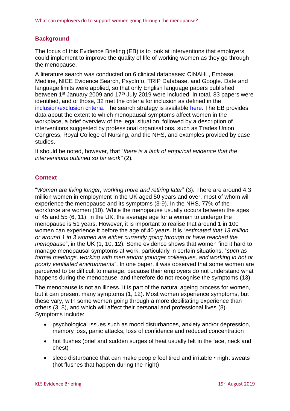#### **Background**

The focus of this Evidence Briefing (EB) is to look at interventions that employers could implement to improve the quality of life of working women as they go through the menopause.

A literature search was conducted on 6 clinical databases: CINAHL, Embase, Medline, NICE Evidence Search, PsycInfo, TRIP Database, and Google. Date and language limits were applied, so that only English language papers published between 1<sup>st</sup> January 2009 and 17<sup>th</sup> July 2019 were included. In total, 83 papers were identified, and of those, 32 met the criteria for inclusion as defined in the [inclusion/exclusion criteria.](#page-10-0) The search strategy is available [here.](#page-10-1) The EB provides data about the extent to which menopausal symptoms affect women in the workplace, a brief overview of the legal situation, followed by a description of interventions suggested by professional organisations, such as Trades Union Congress, Royal College of Nursing, and the NHS, and examples provided by case studies.

It should be noted, however, that "*there is a lack of empirical evidence that the interventions outlined so far work"* [\(2\)](#page-11-0)*.*

#### **Context**

"*Women are living longer, working more and retiring later*" [\(3\)](#page-11-1). There are around 4.3 million women in employment in the UK aged 50 years and over, most of whom will experience the menopause and its symptoms [\(3-9\)](#page-11-1). In the NHS, 77% of the workforce are women [\(10\)](#page-11-2). While the menopause usually occurs between the ages of 45 and 55 [\(6,](#page-11-3) [11\)](#page-11-4), in the UK, the average age for a woman to undergo the menopause is 51 years. However, it is important to realise that around 1 in 100 women can experience it before the age of 40 years. It is "*estimated that 13 million or around 1 in 3 women are either currently going through or have reached the menopause*", in the UK [\(1,](#page-11-5) [10,](#page-11-2) [12\)](#page-11-6). Some evidence shows that women find it hard to manage menopausal symptoms at work, particularly in certain situations, "*such as formal meetings, working with men and/or younger colleagues, and working in hot or poorly ventilated environments*". In one paper, it was observed that some women are perceived to be difficult to manage, because their employers do not understand what happens during the menopause, and therefore do not recognise the symptoms [\(13\)](#page-11-7).

The menopause is not an illness. It is part of the natural ageing process for women, but it can present many symptoms [\(1,](#page-11-5) [12\)](#page-11-6). Most women experience symptoms, but these vary, with some women going through a more debilitating experience than others [\(3,](#page-11-1) [8\)](#page-11-8), and which will affect their personal and professional lives [\(8\)](#page-11-8). Symptoms include:

- psychological issues such as mood disturbances, anxiety and/or depression, memory loss, panic attacks, loss of confidence and reduced concentration
- hot flushes (brief and sudden surges of heat usually felt in the face, neck and chest)
- sleep disturbance that can make people feel tired and irritable night sweats (hot flushes that happen during the night)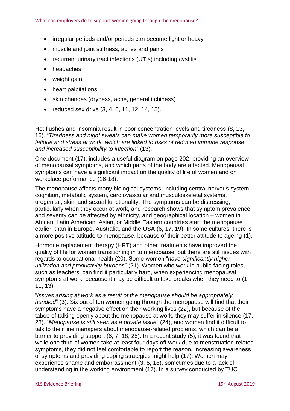- irregular periods and/or periods can become light or heavy
- muscle and joint stiffness, aches and pains
- recurrent urinary tract infections (UTIs) including cystitis
- headaches
- weight gain
- heart palpitations
- skin changes (dryness, acne, general itchiness)
- reduced sex drive  $(3, 4, 6, 11, 12, 14, 15)$  $(3, 4, 6, 11, 12, 14, 15)$  $(3, 4, 6, 11, 12, 14, 15)$  $(3, 4, 6, 11, 12, 14, 15)$  $(3, 4, 6, 11, 12, 14, 15)$  $(3, 4, 6, 11, 12, 14, 15)$  $(3, 4, 6, 11, 12, 14, 15)$ .

Hot flushes and insomnia result in poor concentration levels and tiredness [\(8,](#page-11-8) [13,](#page-11-7) [16\)](#page-11-12). "*Tiredness and night sweats can make women temporarily more susceptible to fatigue and stress at work, which are linked to risks of reduced immune response and increased susceptibility to infection*" [\(13\)](#page-11-7).

One document [\(17\)](#page-11-13), includes a useful diagram on page 202, providing an overview of menopausal symptoms, and which parts of the body are affected. Menopausal symptoms can have a significant impact on the quality of life of women and on workplace performance [\(16-18\)](#page-11-12).

The menopause affects many biological systems, including central nervous system, cognition, metabolic system, cardiovascular and musculoskeletal systems, urogenital, skin, and sexual functionality. The symptoms can be distressing, particularly when they occur at work, and research shows that symptom prevalence and severity can be affected by ethnicity, and geographical location – women in African, Latin American, Asian, or Middle Eastern countries start the menopause earlier, than in Europe, Australia, and the USA [\(6,](#page-11-3) [17,](#page-11-13) [19\)](#page-11-14). In some cultures, there is a more positive attitude to menopause, because of their better attitude to ageing [\(1\)](#page-11-5).

Hormone replacement therapy (HRT) and other treatments have improved the quality of life for women transitioning in to menopause, but there are still issues with regards to occupational health [\(20\)](#page-12-0). Some women "*have significantly higher utilization and productivity burdens*" [\(21\)](#page-12-1). Women who work in public-facing roles, such as teachers, can find it particularly hard, when experiencing menopausal symptoms at work, because it may be difficult to take breaks when they need to [\(1,](#page-11-5) [11,](#page-11-4) [13\)](#page-11-7).

"*Issues arising at work as a result of the menopause should be appropriately handled*" [\(3\)](#page-11-1). Six out of ten women going through the menopause will find that their symptoms have a negative effect on their working lives [\(22\)](#page-12-2), but because of the taboo of talking openly about the menopause at work, they may suffer in silence [\(17,](#page-11-13) [23\)](#page-12-3). "*Menopause is still seen as a private issue*" [\(24\)](#page-12-4), and women find it difficult to talk to their line managers about menopause-related problems, which can be a barrier to providing support [\(6,](#page-11-3) [7,](#page-11-15) [18,](#page-11-16) [25\)](#page-12-5). In a recent study [\(5\)](#page-11-17), it was found that while one third of women take at least four days off work due to menstruation-related symptoms, they did not feel comfortable to report the reason. Increasing awareness of symptoms and providing coping strategies might help [\(17\)](#page-11-13). Women may experience shame and embarrassment [\(3,](#page-11-1) [5,](#page-11-17) [18\)](#page-11-16), sometimes due to a lack of understanding in the working environment [\(17\)](#page-11-13). In a survey conducted by TUC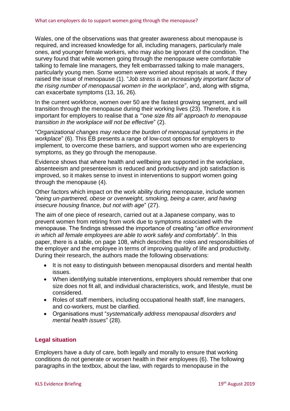Wales, one of the observations was that greater awareness about menopause is required, and increased knowledge for all, including managers, particularly male ones, and younger female workers, who may also be ignorant of the condition. The survey found that while women going through the menopause were comfortable talking to female line managers, they felt embarrassed talking to male managers, particularly young men. Some women were worried about reprisals at work, if they raised the issue of menopause [\(1\)](#page-11-5). "*Job stress is an increasingly important factor of the rising number of menopausal women in the workplace*", and, along with stigma, can exacerbate symptoms [\(13,](#page-11-7) [16,](#page-11-12) [26\)](#page-12-6).

In the current workforce, women over 50 are the fastest growing segment, and will transition through the menopause during their working lives [\(23\)](#page-12-3). Therefore, it is important for employers to realise that a *"'one size fits all' approach to menopause transition in the workplace will not be effective*" [\(2\)](#page-11-0).

"*Organizational changes may reduce the burden of menopausal symptoms in the workplace*" [\(6\)](#page-11-3). This EB presents a range of low-cost options for employers to implement, to overcome these barriers, and support women who are experiencing symptoms, as they go through the menopause.

Evidence shows that where health and wellbeing are supported in the workplace, absenteeism and presenteeism is reduced and productivity and job satisfaction is improved, so it makes sense to invest in interventions to support women going through the menopause [\(4\)](#page-11-9).

Other factors which impact on the work ability during menopause, include women "*being un-partnered, obese or overweight, smoking, being a carer, and having insecure housing finance, but not with age*" [\(27\)](#page-12-7).

The aim of one piece of research, carried out at a Japanese company, was to prevent women from retiring from work due to symptoms associated with the menopause. The findings stressed the importance of creating "*an office environment in which all female employees are able to work safely and comfortably*". In this paper, there is a table, on page 108, which describes the roles and responsibilities of the employer and the employee in terms of improving quality of life and productivity. During their research, the authors made the following observations:

- It is not easy to distinguish between menopausal disorders and mental health issues.
- When identifying suitable interventions, employers should remember that one size does not fit all, and individual characteristics, work, and lifestyle, must be considered.
- Roles of staff members, including occupational health staff, line managers, and co-workers, must be clarified.
- Organisations must "*systematically address menopausal disorders and mental health issues*" [\(28\)](#page-12-8).

# **Legal situation**

Employers have a duty of care, both legally and morally to ensure that working conditions do not generate or worsen health in their employees [\(6\)](#page-11-3). The following paragraphs in the textbox, about the law, with regards to menopause in the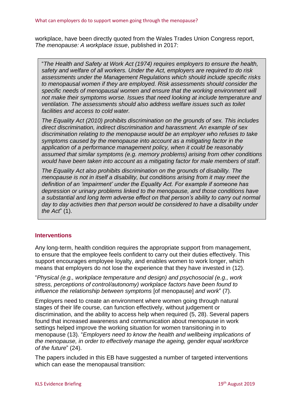workplace, have been directly quoted from the Wales Trades Union Congress report, *The menopause: A workplace issue*, published in 2017:

"*The Health and Safety at Work Act (1974) requires employers to ensure the health, safety and welfare of all workers. Under the Act, employers are required to do risk assessments under the Management Regulations which should include specific risks to menopausal women if they are employed. Risk assessments should consider the specific needs of menopausal women and ensure that the working environment will not make their symptoms worse. Issues that need looking at include temperature and ventilation. The assessments should also address welfare issues such as toilet facilities and access to cold water.* 

*The Equality Act (2010) prohibits discrimination on the grounds of sex. This includes direct discrimination, indirect discrimination and harassment. An example of sex discrimination relating to the menopause would be an employer who refuses to take symptoms caused by the menopause into account as a mitigating factor in the application of a performance management policy, when it could be reasonably assumed that similar symptoms (e.g. memory problems) arising from other conditions would have been taken into account as a mitigating factor for male members of staff*.

*The Equality Act also prohibits discrimination on the grounds of disability. The menopause is not in itself a disability, but conditions arising from it may meet the definition of an 'impairment' under the Equality Act. For example if someone has depression or urinary problems linked to the menopause, and those conditions have a substantial and long term adverse effect on that person's ability to carry out normal*  day to day activities then that person would be considered to have a disability under *the Act*" [\(1\)](#page-11-5).

#### **Interventions**

Any long-term, health condition requires the appropriate support from management, to ensure that the employee feels confident to carry out their duties effectively. This support encourages employee loyalty, and enables women to work longer, which means that employers do not lose the experience that they have invested in [\(12\)](#page-11-6).

"*Physical (e.g., workplace temperature and design) and psychosocial (e.g., work stress, perceptions of control/autonomy) workplace factors have been found to influence the relationship between symptoms* [of menopause] *and work*" [\(7\)](#page-11-15).

Employers need to create an environment where women going through natural stages of their life course, can function effectively, without judgement or discrimination, and the ability to access help when required [\(5,](#page-11-17) [28\)](#page-12-8). Several papers found that increased awareness and communication about menopause in work settings helped improve the working situation for women transitioning in to menopause [\(13\)](#page-11-7). "*Employers need to know the health and wellbeing implications of the menopause, in order to effectively manage the ageing, gender equal workforce of the future*" [\(24\)](#page-12-4).

The papers included in this EB have suggested a number of targeted interventions which can ease the menopausal transition: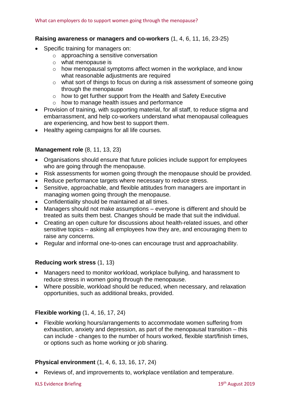#### **Raising awareness or managers and co-workers** [\(1,](#page-11-5) [4,](#page-11-9) [6,](#page-11-3) [11,](#page-11-4) [16,](#page-11-12) [23-25\)](#page-12-3)

- Specific training for managers on:
	- o approaching a sensitive conversation
	- o what menopause is
	- o how menopausal symptoms affect women in the workplace, and know what reasonable adjustments are required
	- o what sort of things to focus on during a risk assessment of someone going through the menopause
	- $\circ$  how to get further support from the Health and Safety Executive
	- o how to manage health issues and performance
- Provision of training, with supporting material, for all staff, to reduce stigma and embarrassment, and help co-workers understand what menopausal colleagues are experiencing, and how best to support them.
- Healthy ageing campaigns for all life courses.

#### **Management role** [\(8,](#page-11-8) [11,](#page-11-4) [13,](#page-11-7) [23\)](#page-12-3)

- Organisations should ensure that future policies include support for employees who are going through the menopause.
- Risk assessments for women going through the menopause should be provided.
- Reduce performance targets where necessary to reduce stress.
- Sensitive, approachable, and flexible attitudes from managers are important in managing women going through the menopause.
- Confidentiality should be maintained at all times.
- Managers should not make assumptions everyone is different and should be treated as suits them best. Changes should be made that suit the individual.
- Creating an open culture for discussions about health-related issues, and other sensitive topics – asking all employees how they are, and encouraging them to raise any concerns.
- Regular and informal one-to-ones can encourage trust and approachability.

#### **Reducing work stress** [\(1,](#page-11-5) [13\)](#page-11-7)

- Managers need to monitor workload, workplace bullying, and harassment to reduce stress in women going through the menopause.
- Where possible, workload should be reduced, when necessary, and relaxation opportunities, such as additional breaks, provided.

#### **Flexible working** [\(1,](#page-11-5) [4,](#page-11-9) [16,](#page-11-12) [17,](#page-11-13) [24\)](#page-12-4)

• Flexible working hours/arrangements to accommodate women suffering from exhaustion, anxiety and depression, as part of the menopausal transition – this can include - changes to the number of hours worked, flexible start/finish times, or options such as home working or job sharing.

#### **Physical environment** [\(1,](#page-11-5) [4,](#page-11-9) [6,](#page-11-3) [13,](#page-11-7) [16,](#page-11-12) [17,](#page-11-13) [24\)](#page-12-4)

• Reviews of, and improvements to, workplace ventilation and temperature.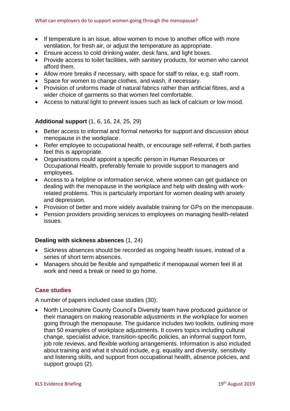- If temperature is an issue, allow women to move to another office with more ventilation, for fresh air, or adjust the temperature as appropriate.
- Ensure access to cold drinking water, desk fans, and light boxes.
- Provide access to toilet facilities, with sanitary products, for women who cannot afford them.
- Allow more breaks if necessary, with space for staff to relax, e.g. staff room.
- Space for women to change clothes, and wash, if necessary.
- Provision of uniforms made of natural fabrics rather than artificial fibres, and a wider choice of garments so that women feel comfortable.
- Access to natural light to prevent issues such as lack of calcium or low mood.

#### **Additional support** [\(1,](#page-11-5) [6,](#page-11-3) [16,](#page-11-12) [24,](#page-12-4) [25,](#page-12-5) [29\)](#page-12-9)

- Better access to informal and formal networks for support and discussion about menopause in the workplace.
- Refer employee to occupational health, or encourage self-referral, if both parties feel this is appropriate.
- Organisations could appoint a specific person in Human Resources or Occupational Health, preferably female to provide support to managers and employees.
- Access to a helpline or information service, where women can get guidance on dealing with the menopause in the workplace and help with dealing with workrelated problems. This is particularly important for women dealing with anxiety and depression.
- Provision of better and more widely available training for GPs on the menopause.
- Pension providers providing services to employees on managing health-related issues.

#### **Dealing with sickness absences** [\(1,](#page-11-5) [24\)](#page-12-4)

- Sickness absences should be recorded as ongoing health issues, instead of a series of short term absences.
- Managers should be flexible and sympathetic if menopausal women feel ill at work and need a break or need to go home.

#### **Case studies**

A number of papers included case studies [\(30\)](#page-12-10):

• North Lincolnshire County Council's Diversity team have produced guidance or their managers on making reasonable adjustments in the workplace for women going through the menopause. The guidance includes two toolkits, outlining more than 50 examples of workplace adjustments. It covers topics including cultural change, specialist advice, transition-specific policies, an informal support form, job role reviews, and flexible working arrangements. Information is also included about training and what it should include, e.g. equality and diversity, sensitivity and listening skills, and support from occupational health, absence policies, and support groups [\(2\)](#page-11-0).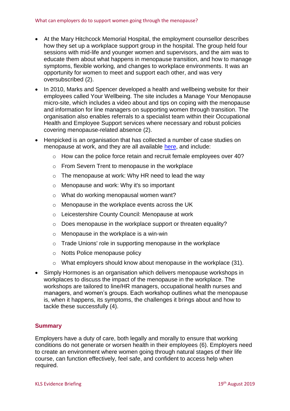- At the Mary Hitchcock Memorial Hospital, the employment counsellor describes how they set up a workplace support group in the hospital. The group held four sessions with mid-life and younger women and supervisors, and the aim was to educate them about what happens in menopause transition, and how to manage symptoms, flexible working, and changes to workplace environments. It was an opportunity for women to meet and support each other, and was very oversubscribed [\(2\)](#page-11-0).
- In 2010, Marks and Spencer developed a health and wellbeing website for their employees called Your Wellbeing. The site includes a Manage Your Menopause micro-site, which includes a video about and tips on coping with the menopause and information for line managers on supporting women through transition. The organisation also enables referrals to a specialist team within their Occupational Health and Employee Support services where necessary and robust policies covering menopause-related absence [\(2\)](#page-11-0).
- Henpicked is an organisation that has collected a number of case studies on menopause at work, and they are all available [here,](https://menopauseintheworkplace.co.uk/category/menopause-at-work/) and include:
	- o How can the police force retain and recruit female employees over 40?
	- o From Severn Trent to menopause in the workplace
	- o The menopause at work: Why HR need to lead the way
	- o Menopause and work: Why it's so important
	- o What do working menopausal women want?
	- o Menopause in the workplace events across the UK
	- o Leicestershire County Council: Menopause at work
	- o Does menopause in the workplace support or threaten equality?
	- o Menopause in the workplace is a win-win
	- o Trade Unions' role in supporting menopause in the workplace
	- o Notts Police menopause policy
	- o What employers should know about menopause in the workplace [\(31\)](#page-12-11).
- Simply Hormones is an organisation which delivers menopause workshops in workplaces to discuss the impact of the menopause in the workplace. The workshops are tailored to line/HR managers, occupational health nurses and managers, and women's groups. Each workshop outlines what the menopause is, when it happens, its symptoms, the challenges it brings about and how to tackle these successfully [\(4\)](#page-11-9).

#### **Summary**

Employers have a duty of care, both legally and morally to ensure that working conditions do not generate or worsen health in their employees [\(6\)](#page-11-3). Employers need to create an environment where women going through natural stages of their life course, can function effectively, feel safe, and confident to access help when required.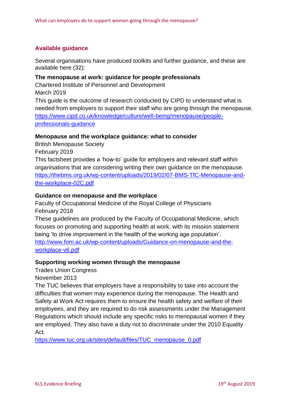# **Available guidance**

Several organisations have produced toolkits and further guidance, and these are available here [\(32\)](#page-12-12):

#### **The menopause at work: guidance for people professionals**

Chartered Institute of Personnel and Development March 2019

This guide is the outcome of research conducted by CIPD to understand what is needed from employers to support their staff who are going through the menopause. [https://www.cipd.co.uk/knowledge/culture/well-being/menopause/people](https://www.cipd.co.uk/knowledge/culture/well-being/menopause/people-professionals-guidance)[professionals-guidance](https://www.cipd.co.uk/knowledge/culture/well-being/menopause/people-professionals-guidance)

# **Menopause and the workplace guidance: what to consider**

British Menopause Society

February 2019

This factsheet provides a 'how-to' guide for employers and relevant staff within organisations that are considering writing their own guidance on the menopause. [https://thebms.org.uk/wp-content/uploads/2019/02/07-BMS-TfC-Menopause-and](https://thebms.org.uk/wp-content/uploads/2019/02/07-BMS-TfC-Menopause-and-the-workplace-02C.pdf)[the-workplace-02C.pdf](https://thebms.org.uk/wp-content/uploads/2019/02/07-BMS-TfC-Menopause-and-the-workplace-02C.pdf)

#### **Guidance on menopause and the workplace**

Faculty of Occupational Medicine of the Royal College of Physicians February 2018

These guidelines are produced by the Faculty of Occupational Medicine, which focuses on promoting and supporting health at work, with its mission statement being 'to drive improvement in the health of the working age population'. [http://www.fom.ac.uk/wp-content/uploads/Guidance-on-menopause-and-the-](http://www.fom.ac.uk/wp-content/uploads/Guidance-on-menopause-and-the-workplace-v6.pdf)

[workplace-v6.pdf](http://www.fom.ac.uk/wp-content/uploads/Guidance-on-menopause-and-the-workplace-v6.pdf)

# **Supporting working women through the menopause**

Trades Union Congress

November 2013

The TUC believes that employers have a responsibility to take into account the difficulties that women may experience during the menopause. The Health and Safety at Work Act requires them to ensure the health safety and welfare of their employees, and they are required to do risk assessments under the Management Regulations which should include any specific risks to menopausal women if they are employed. They also have a duty not to discriminate under the 2010 Equality Act.

[https://www.tuc.org.uk/sites/default/files/TUC\\_menopause\\_0.pdf](https://www.tuc.org.uk/sites/default/files/TUC_menopause_0.pdf)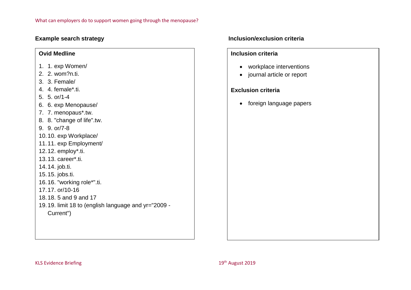# **Ovid Medline**

- 1. 1. exp Women/
- 2. 2. wom?n.ti.
- 3. 3. Female/
- 4. 4. female\*.ti.
- 5. 5. or/1-4
- 6. 6. exp Menopause/
- 7. 7. menopaus\*.tw.
- 8. 8. "change of life".tw.
- 9. 9. or/7-8
- 10.10. exp Workplace/
- 11.11. exp Employment/
- 12.12. employ\*.ti.
- <span id="page-10-1"></span>13.13. career\*.ti.
- 14.14. job.ti.
- 15.15. jobs.ti.
- 16.16. "working role\*".ti.
- 17.17. or/10-16
- 18.18. 5 and 9 and 17
- 19.19. limit 18 to (english language and yr="2009 Current")

#### **Example search strategy Inclusion/exclusion criteria**

#### **Inclusion criteria**

- workplace interventions
- journal article or report

# **Exclusion criteria**

<span id="page-10-0"></span>• foreign language papers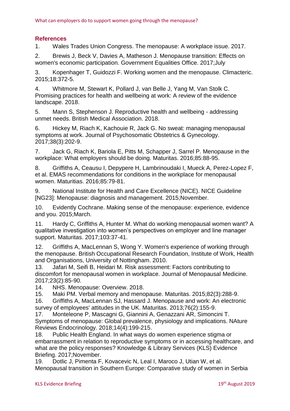# **References**

<span id="page-11-5"></span>1. Wales Trades Union Congress. The menopause: A workplace issue. 2017.

<span id="page-11-0"></span>2. Brewis J, Beck V, Davies A, Matheson J. Menopause transition: Effects on women's economic participation. Government Equalities Office. 2017;July

<span id="page-11-1"></span>3. Kopenhager T, Guidozzi F. Working women and the menopause. Climacteric. 2015;18:372-5.

<span id="page-11-9"></span>4. Whitmore M, Stewart K, Pollard J, van Belle J, Yang M, Van Stolk C. Promising practices for health and wellbeing at work: A review of the evidence landscape. 2018.

<span id="page-11-17"></span>5. Mann S, Stephenson J. Reproductive health and wellbeing - addressing unmet needs. British Medical Association. 2018.

<span id="page-11-3"></span>6. Hickey M, Riach K, Kachouie R, Jack G. No sweat: managing menopausal symptoms at work. Journal of Psychosomatic Obstetrics & Gynecology. 2017;38(3):202-9.

<span id="page-11-15"></span>7. Jack G, Riach K, Bariola E, Pitts M, Schapper J, Sarrel P. Menopause in the workplace: What employers should be doing. Maturitas. 2016;85:88-95.

<span id="page-11-8"></span>8. Griffiths A, Ceausu I, Depypere H, Lambrinoudaki I, Mueck A, Perez-Lopez F, et al. EMAS recommendations for conditions in the workplace for menopausal women. Maturitias. 2016;85:79-81.

9. National Institute for Health and Care Excellence (NICE). NICE Guideline [NG23]: Menopause: diagnosis and management. 2015;November.

<span id="page-11-2"></span>10. Evidently Cochrane. Making sense of the menopause: experience, evidence and you. 2015;March.

<span id="page-11-4"></span>11. Hardy C, Griffiths A, Hunter M. What do working menopausal women want? A qualitative investigation into women's perspectives on employer and line manager support. Maturitas. 2017;103:37-41.

<span id="page-11-6"></span>12. Griffiths A, MacLennan S, Wong Y. Women's experience of working through the menopause. British Occupational Research Foundation, Institute of Work, Health and Organisations, University of Nottingham. 2010.

<span id="page-11-7"></span>13. Jafari M, Seifi B, Heidari M. Risk assessment: Factors contributing to discomfort for menopausal women in workplace. Journal of Menopausal Medicine. 2017;23(2):85-90.

<span id="page-11-11"></span><span id="page-11-10"></span>14. NHS. Menopause: Overview. 2018.

<span id="page-11-12"></span>15. Maki PM. Verbal memory and menopause. Maturitas. 2015;82(3):288-9.

16. Griffiths A, MacLennan SJ, Hassard J. Menopause and work: An electronic survey of employees' attitudes in the UK. Maturitas. 2013;76(2):155-9.

<span id="page-11-13"></span>17. Monteleone P, Mascagni G, Giannini A, Genazzani AR, Simoncini T. Symptoms of menopause: Global prevalence, physiology and implications. NAture Reviews Endocrinology. 2018;14(4):199-215.

<span id="page-11-16"></span>18. Public Health England. In what ways do women experience stigma or embarrassment in relation to reproductive symptoms or in accessing healthcare, and what are the policy responses? Knowledge & Library Services (KLS) Evidence Briefing. 2017;November.

<span id="page-11-14"></span>19. Dotlic J, Pimenta F, Kovacevic N, Leal I, Maroco J, Utian W, et al. Menopausal transition in Southern Europe: Comparative study of women in Serbia